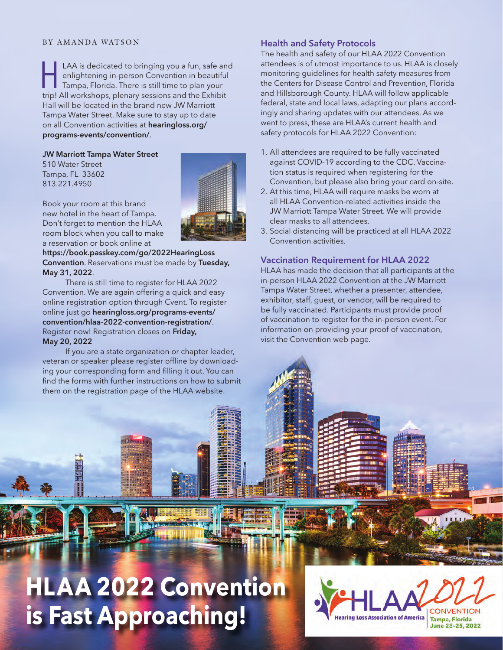#### BY AMANDA WATSON

LAA is dedicated to bringing you a fun, safe and<br>enlightening in-person Convention in beautiful<br>Tampa, Florida. There is still time to plan your<br>trinl All workshops plenary sessions and the Exhibit enlightening in-person Convention in beautiful Tampa, Florida. There is still time to plan your trip! All workshops, plenary sessions and the Exhibit Hall will be located in the brand new JW Marriott Tampa Water Street. Make sure to stay up to date [on all Convention activities at](www.hearingloss.org/programs-events/convention/) **hearingloss.org/ programs-events/convention/**.

#### **JW Marriott Tampa Water Street**

510 Water Street Tampa, FL 33602 813.221.4950



Book your room at this brand new hotel in the heart of Tampa. Don't forget to mention the HLAA room block when you call to make a reservation or book online at

**[https://book.passkey.com/go/2022HearingLoss](https://book.passkey.com/gt/lodging/218255866?gtid=f4f43afaa802e559d8426d65c60cdaaa)  Convention**. Reservations must be made by **Tuesday, May 31, 2022**.

There is still time to register for HLAA 2022 Convention. We are again offering a quick and easy online registration option through Cvent. To register online just go **[hearingloss.org/programs-events/](http://hearingloss.org/programs-events/convention/hlaa-2022-convention-registration/)  [convention/hlaa-2022-convention-registration/](http://hearingloss.org/programs-events/convention/hlaa-2022-convention-registration/)**. Register now! Registration closes on **Friday, May 20, 2022**

If you are a state organization or chapter leader, veteran or speaker please register offline by downloading your corresponding form and filling it out. You can find the forms with further instructions on how to submit them on the registration page of the HLAA website.

#### **Health and Safety Protocols**

The health and safety of our HLAA 2022 Convention attendees is of utmost importance to us. HLAA is closely monitoring guidelines for health safety measures from the Centers for Disease Control and Prevention, Florida and Hillsborough County. HLAA will follow applicable federal, state and local laws, adapting our plans accordingly and sharing updates with our attendees. As we went to press, these are HLAA's current health and safety protocols for HLAA 2022 Convention:

- 1. All attendees are required to be fully vaccinated against COVID-19 according to the CDC. Vaccination status is required when registering for the Convention, but please also bring your card on-site.
- 2. At this time, HLAA will require masks be worn at all HLAA Convention-related activities inside the JW Marriott Tampa Water Street. We will provide clear masks to all attendees.
- 3. Social distancing will be practiced at all HLAA 2022 Convention activities.

#### **Vaccination Requirement for HLAA 2022**

HLAA has made the decision that all participants at the in-person HLAA 2022 Convention at the JW Marriott Tampa Water Street, whether a presenter, attendee, exhibitor, staff, guest, or vendor, will be required to be fully vaccinated. Participants must provide proof of vaccination to register for the in-person event. For information on providing your proof of vaccination, visit the Convention web page.

## Hearing 23-25 **HLAA 2022 Convention is Fast Approaching!**

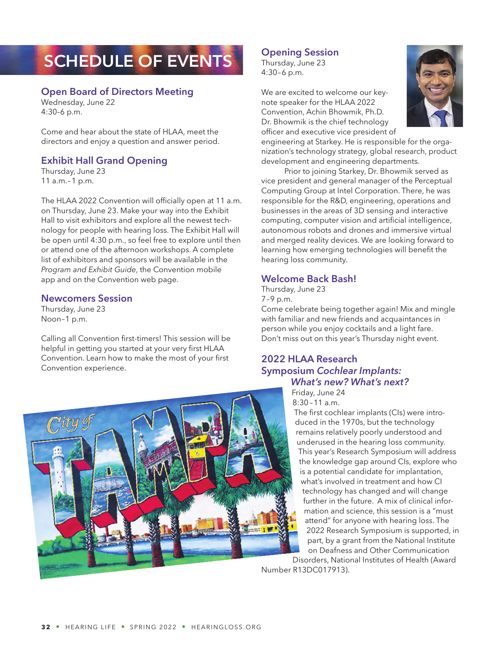# **SCHEDULE OF EVENTS**

## **Open Board of Directors Meeting**

Wednesday, June 22 4:30–6 p.m.

Come and hear about the state of HLAA, meet the directors and enjoy a question and answer period.

## **Exhibit Hall Grand Opening**

Thursday, June 23 11 a.m.–1 p.m.

The HLAA 2022 Convention will officially open at 11 a.m. on Thursday, June 23. Make your way into the Exhibit Hall to visit exhibitors and explore all the newest technology for people with hearing loss. The Exhibit Hall will be open until 4:30 p.m., so feel free to explore until then or attend one of the afternoon workshops. A complete list of exhibitors and sponsors will be available in the *Program and Exhibit Guide*, the Convention mobile app and on the Convention web page.

#### **Newcomers Session**

Thursday, June 23 Noon–1 p.m.

Calling all Convention first-timers! This session will be helpful in getting you started at your very first HLAA Convention. Learn how to make the most of your first Convention experience.

## **Opening Session**

Thursday, June 23 4:30–6 p.m.

We are excited to welcome our keynote speaker for the HLAA 2022 Convention, Achin Bhowmik, Ph.D. Dr. Bhowmik is the chief technology officer and executive vice president of



engineering at Starkey. He is responsible for the organization's technology strategy, global research, product development and engineering departments.

Prior to joining Starkey, Dr. Bhowmik served as vice president and general manager of the Perceptual Computing Group at Intel Corporation. There, he was responsible for the R&D, engineering, operations and businesses in the areas of 3D sensing and interactive computing, computer vision and artificial intelligence, autonomous robots and drones and immersive virtual and merged reality devices. We are looking forward to learning how emerging technologies will benefit the hearing loss community.

#### **Welcome Back Bash!**

Thursday, June 23 7–9 p.m.

Come celebrate being together again! Mix and mingle with familiar and new friends and acquaintances in person while you enjoy cocktails and a light fare. Don't miss out on this year's Thursday night event.

#### **2022 HLAA Research Symposium** *Cochlear Implants: What's new? What's next?*

Friday, June 24 8:30 – 11 a.m.

The first cochlear implants (CIs) were introduced in the 1970s, but the technology remains relatively poorly understood and underused in the hearing loss community. This year's Research Symposium will address the knowledge gap around CIs, explore who is a potential candidate for implantation, what's involved in treatment and how CI technology has changed and will change further in the future. A mix of clinical information and science, this session is a "must attend" for anyone with hearing loss. The 2022 Research Symposium is supported, in part, by a grant from the National Institute on Deafness and Other Communication

Disorders, National Institutes of Health (Award Number R13DC017913).